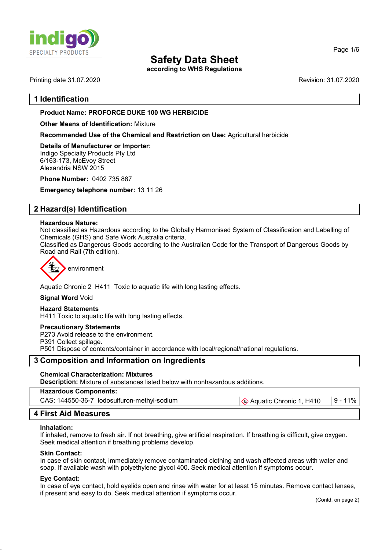

according to WHS Regulations

Printing date 31.07.2020 Revision: 31.07.2020

# 1 Identification

# Product Name: **PROFORCE DUKE 100 WG** HERBICIDE

Other Means of Identification: Mixture

Recommended Use of the Chemical and Restriction on Use: Agricultural herbicide

Details of Manufacturer or Importer: Indigo Specialty Products Pty Ltd 6/163-173, McEvoy Street Alexandria NSW 2015

Phone Number: 0402 735 887

Emergency telephone number: 13 11 26

# 2 Hazard(s) Identification

#### Hazardous Nature:

Not classified as Hazardous according to the Globally Harmonised System of Classification and Labelling of Chemicals (GHS) and Safe Work Australia criteria.

Classified as Dangerous Goods according to the Australian Code for the Transport of Dangerous Goods by Road and Rail (7th edition).



Aquatic Chronic 2 H411 Toxic to aquatic life with long lasting effects.

Signal Word Void

#### Hazard Statements

H411 Toxic to aquatic life with long lasting effects.

#### Precautionary Statements

P273 Avoid release to the environment.

P391 Collect spillage.

P501 Dispose of contents/container in accordance with local/regional/national regulations.

# 3 Composition and Information on Ingredients

#### Chemical Characterization: Mixtures

Description: Mixture of substances listed below with nonhazardous additions.

| <b>Hazardous Components:</b>                  |                         |          |
|-----------------------------------------------|-------------------------|----------|
| CAS: 144550-36-7   lodosulfuron-methyl-sodium | Aquatic Chronic 1, H410 | ∣9 - 11% |

# 4 First Aid Measures

#### Inhalation:

If inhaled, remove to fresh air. If not breathing, give artificial respiration. If breathing is difficult, give oxygen. Seek medical attention if breathing problems develop.

#### Skin Contact:

In case of skin contact, immediately remove contaminated clothing and wash affected areas with water and soap. If available wash with polyethylene glycol 400. Seek medical attention if symptoms occur.

#### Eye Contact:

In case of eye contact, hold eyelids open and rinse with water for at least 15 minutes. Remove contact lenses, if present and easy to do. Seek medical attention if symptoms occur.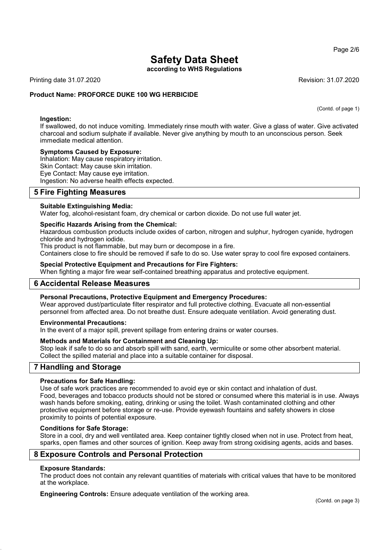according to WHS Regulations

Printing date 31.07.2020 Revision: 31.07.2020

### Product Name: **PROFORCE DUKE 100 WG HERBICIDE**

(Contd. of page 1)

Ingestion: If swallowed, do not induce vomiting. Immediately rinse mouth with water. Give a glass of water. Give activated charcoal and sodium sulphate if available. Never give anything by mouth to an unconscious person. Seek immediate medical attention.

#### Symptoms Caused by Exposure:

Inhalation: May cause respiratory irritation. Skin Contact: May cause skin irritation. Eye Contact: May cause eye irritation. Ingestion: No adverse health effects expected.

# 5 Fire Fighting Measures

#### Suitable Extinguishing Media:

Water fog, alcohol-resistant foam, dry chemical or carbon dioxide. Do not use full water jet.

#### Specific Hazards Arising from the Chemical:

Hazardous combustion products include oxides of carbon, nitrogen and sulphur, hydrogen cyanide, hydrogen chloride and hydrogen iodide.

This product is not flammable, but may burn or decompose in a fire.

Containers close to fire should be removed if safe to do so. Use water spray to cool fire exposed containers.

#### Special Protective Equipment and Precautions for Fire Fighters:

When fighting a major fire wear self-contained breathing apparatus and protective equipment.

# 6 Accidental Release Measures

### Personal Precautions, Protective Equipment and Emergency Procedures:

Wear approved dust/particulate filter respirator and full protective clothing. Evacuate all non-essential personnel from affected area. Do not breathe dust. Ensure adequate ventilation. Avoid generating dust.

#### Environmental Precautions:

In the event of a major spill, prevent spillage from entering drains or water courses.

### Methods and Materials for Containment and Cleaning Up:

Stop leak if safe to do so and absorb spill with sand, earth, vermiculite or some other absorbent material. Collect the spilled material and place into a suitable container for disposal.

# 7 Handling and Storage

### Precautions for Safe Handling:

Use of safe work practices are recommended to avoid eye or skin contact and inhalation of dust. Food, beverages and tobacco products should not be stored or consumed where this material is in use. Always wash hands before smoking, eating, drinking or using the toilet. Wash contaminated clothing and other protective equipment before storage or re-use. Provide eyewash fountains and safety showers in close proximity to points of potential exposure.

#### Conditions for Safe Storage:

Store in a cool, dry and well ventilated area. Keep container tightly closed when not in use. Protect from heat, sparks, open flames and other sources of ignition. Keep away from strong oxidising agents, acids and bases.

# 8 Exposure Controls and Personal Protection

#### Exposure Standards:

The product does not contain any relevant quantities of materials with critical values that have to be monitored at the workplace.

Engineering Controls: Ensure adequate ventilation of the working area.

#### Page 2/6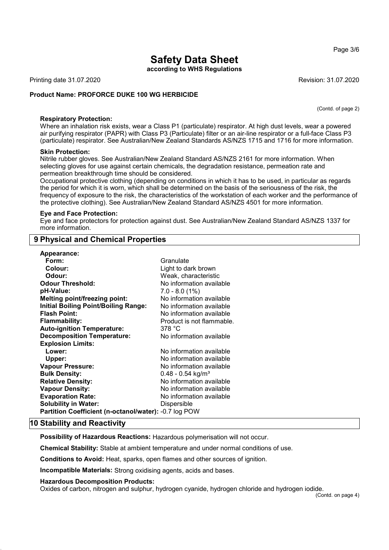according to WHS Regulations

Printing date 31.07.2020 **Revision: 31.07.2020** Revision: 31.07.2020

#### Product Name: **PROFORCE DUKE 100 WG HERBICIDE**

(Contd. of page 2)

#### Respiratory Protection:

Where an inhalation risk exists, wear a Class P1 (particulate) respirator. At high dust levels, wear a powered air purifying respirator (PAPR) with Class P3 (Particulate) filter or an air-line respirator or a full-face Class P3 (particulate) respirator. See Australian/New Zealand Standards AS/NZS 1715 and 1716 for more information.

#### Skin Protection:

Nitrile rubber gloves. See Australian/New Zealand Standard AS/NZS 2161 for more information. When selecting gloves for use against certain chemicals, the degradation resistance, permeation rate and permeation breakthrough time should be considered.

Occupational protective clothing (depending on conditions in which it has to be used, in particular as regards the period for which it is worn, which shall be determined on the basis of the seriousness of the risk, the frequency of exposure to the risk, the characteristics of the workstation of each worker and the performance of the protective clothing). See Australian/New Zealand Standard AS/NZS 4501 for more information.

#### Eye and Face Protection:

Eye and face protectors for protection against dust. See Australian/New Zealand Standard AS/NZS 1337 for more information.

# 9 Physical and Chemical Properties

| Appearance:                                           |                                 |
|-------------------------------------------------------|---------------------------------|
| Form:                                                 | Granulate                       |
| Colour:                                               | Light to dark brown             |
| Odour:                                                | Weak, characteristic            |
| <b>Odour Threshold:</b>                               | No information available        |
| pH-Value:                                             | $7.0 - 8.0(1%)$                 |
| <b>Melting point/freezing point:</b>                  | No information available        |
| <b>Initial Boiling Point/Boiling Range:</b>           | No information available        |
| <b>Flash Point:</b>                                   | No information available        |
| <b>Flammability:</b>                                  | Product is not flammable.       |
| <b>Auto-ignition Temperature:</b>                     | 378 °C                          |
| <b>Decomposition Temperature:</b>                     | No information available        |
| <b>Explosion Limits:</b>                              |                                 |
| Lower:                                                | No information available        |
| Upper:                                                | No information available        |
| <b>Vapour Pressure:</b>                               | No information available        |
| <b>Bulk Density:</b>                                  | $0.48 - 0.54$ kg/m <sup>3</sup> |
| <b>Relative Density:</b>                              | No information available        |
| <b>Vapour Density:</b>                                | No information available        |
| <b>Evaporation Rate:</b>                              | No information available        |
| <b>Solubility in Water:</b>                           | Dispersible                     |
| Partition Coefficient (n-octanol/water): -0.7 log POW |                                 |

# 10 Stability and Reactivity

Possibility of Hazardous Reactions: Hazardous polymerisation will not occur.

Chemical Stability: Stable at ambient temperature and under normal conditions of use.

Conditions to Avoid: Heat, sparks, open flames and other sources of ignition.

Incompatible Materials: Strong oxidising agents, acids and bases.

#### Hazardous Decomposition Products:

Oxides of carbon, nitrogen and sulphur, hydrogen cyanide, hydrogen chloride and hydrogen iodide.

#### Page 3/6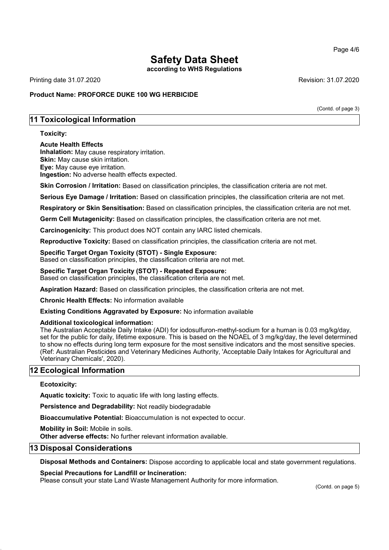according to WHS Regulations

Printing date 31.07.2020 Revision: 31.07.2020

# Product Name: **PROFORCE DUKE 100 WG HERBICIDE**

(Contd. of page 3)

# 11 Toxicological Information

### Toxicity:

#### Acute Health Effects

Inhalation: May cause respiratory irritation. Skin: May cause skin irritation. Eye: May cause eye irritation. Ingestion: No adverse health effects expected.

Skin Corrosion / Irritation: Based on classification principles, the classification criteria are not met.

Serious Eye Damage / Irritation: Based on classification principles, the classification criteria are not met.

Respiratory or Skin Sensitisation: Based on classification principles, the classification criteria are not met.

Germ Cell Mutagenicity: Based on classification principles, the classification criteria are not met.

Carcinogenicity: This product does NOT contain any IARC listed chemicals.

Reproductive Toxicity: Based on classification principles, the classification criteria are not met.

### Specific Target Organ Toxicity (STOT) - Single Exposure:

Based on classification principles, the classification criteria are not met.

# Specific Target Organ Toxicity (STOT) - Repeated Exposure:

Based on classification principles, the classification criteria are not met.

Aspiration Hazard: Based on classification principles, the classification criteria are not met.

Chronic Health Effects: No information available

Existing Conditions Aggravated by Exposure: No information available

#### Additional toxicological information:

The Australian Acceptable Daily Intake (ADI) for iodosulfuron-methyl-sodium for a human is 0.03 mg/kg/day, set for the public for daily, lifetime exposure. This is based on the NOAEL of 3 mg/kg/day, the level determined to show no effects during long term exposure for the most sensitive indicators and the most sensitive species. (Ref: Australian Pesticides and Veterinary Medicines Authority, 'Acceptable Daily Intakes for Agricultural and Veterinary Chemicals', 2020).

# 12 Ecological Information

# Ecotoxicity:

Aquatic toxicity: Toxic to aquatic life with long lasting effects.

Persistence and Degradability: Not readily biodegradable

Bioaccumulative Potential: Bioaccumulation is not expected to occur.

Mobility in Soil: Mobile in soils.

Other adverse effects: No further relevant information available.

# 13 Disposal Considerations

Disposal Methods and Containers: Dispose according to applicable local and state government regulations.

#### Special Precautions for Landfill or Incineration:

Please consult your state Land Waste Management Authority for more information.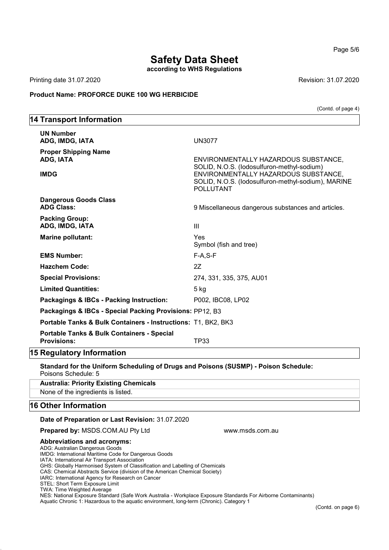according to WHS Regulations

Printing date 31.07.2020 Revision: 31.07.2020

14 Transport Information

### Product Name: **PROFORCE DUKE 100 WG HERBICIDE**

(Contd. of page 4)

# UN Number ADG, IMDG, IATA UN3077 Proper Shipping Name ADG, IATA ENVIRONMENTALLY HAZARDOUS SUBSTANCE, SOLID, N.O.S. (Iodosulfuron-methyl-sodium) IMDG ENVIRONMENTALLY HAZARDOUS SUBSTANCE, SOLID, N.O.S. (Iodosulfuron-methyl-sodium), MARINE POLLUTANT Dangerous Goods Class ADG Class: 9 Miscellaneous dangerous substances and articles. Packing Group: ADG, IMDG, IATA III Marine pollutant: Yes Symbol (fish and tree) EMS Number: F-A,S-F Hazchem Code: 2Z Special Provisions: 274, 331, 335, 375, AU01 Limited Quantities: 5 kg Packagings & IBCs - Packing Instruction: P002, IBC08, LP02 Packagings & IBCs - Special Packing Provisions: PP12, B3 Portable Tanks & Bulk Containers - Instructions: T1, BK2, BK3 Portable Tanks & Bulk Containers - Special Provisions: TP33 15 Regulatory Information

Standard for the Uniform Scheduling of Drugs and Poisons (SUSMP) - Poison Schedule: Poisons Schedule: 5

Australia: Priority Existing Chemicals None of the ingredients is listed.

# 16 Other Information

#### Date of Preparation or Last Revision: 31.07.2020

**Prepared by: MSDS.COM.AU Pty Ltd www.msds.com.au compared by: MSDS.COM.AU Pty Ltd** 

#### Abbreviations and acronyms:

ADG: Australian Dangerous Goods IMDG: International Maritime Code for Dangerous Goods

IATA: International Air Transport Association

GHS: Globally Harmonised System of Classification and Labelling of Chemicals

CAS: Chemical Abstracts Service (division of the American Chemical Society)

IARC: International Agency for Research on Cancer

STEL: Short Term Exposure Limit

TWA: Time Weighted Average

NES: National Exposure Standard (Safe Work Australia - Workplace Exposure Standards For Airborne Contaminants) Aquatic Chronic 1: Hazardous to the aquatic environment, long-term (Chronic). Category 1

<sup>(</sup>Contd. on page 6)